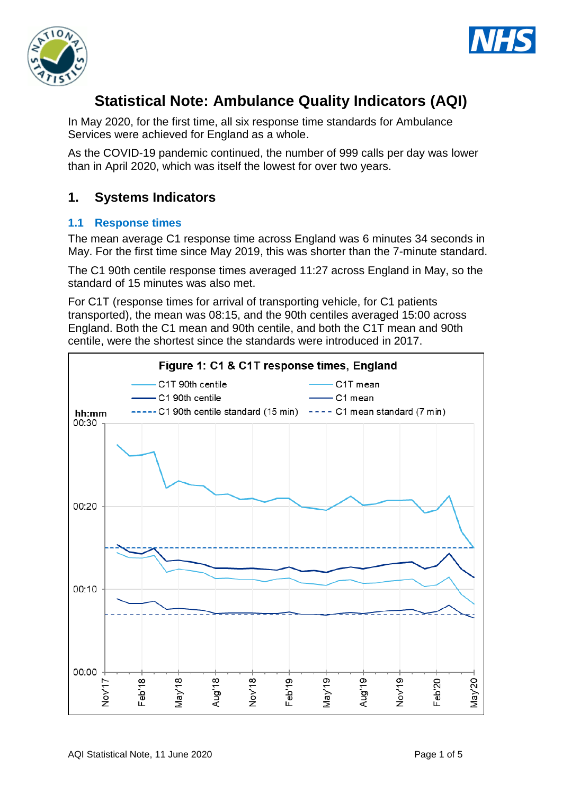



# **Statistical Note: Ambulance Quality Indicators (AQI)**

In May 2020, for the first time, all six response time standards for Ambulance Services were achieved for England as a whole.

As the COVID-19 pandemic continued, the number of 999 calls per day was lower than in April 2020, which was itself the lowest for over two years.

## **1. Systems Indicators**

## **1.1 Response times**

The mean average C1 response time across England was 6 minutes 34 seconds in May. For the first time since May 2019, this was shorter than the 7-minute standard.

The C1 90th centile response times averaged 11:27 across England in May, so the standard of 15 minutes was also met.

For C1T (response times for arrival of transporting vehicle, for C1 patients transported), the mean was 08:15, and the 90th centiles averaged 15:00 across England. Both the C1 mean and 90th centile, and both the C1T mean and 90th centile, were the shortest since the standards were introduced in 2017.

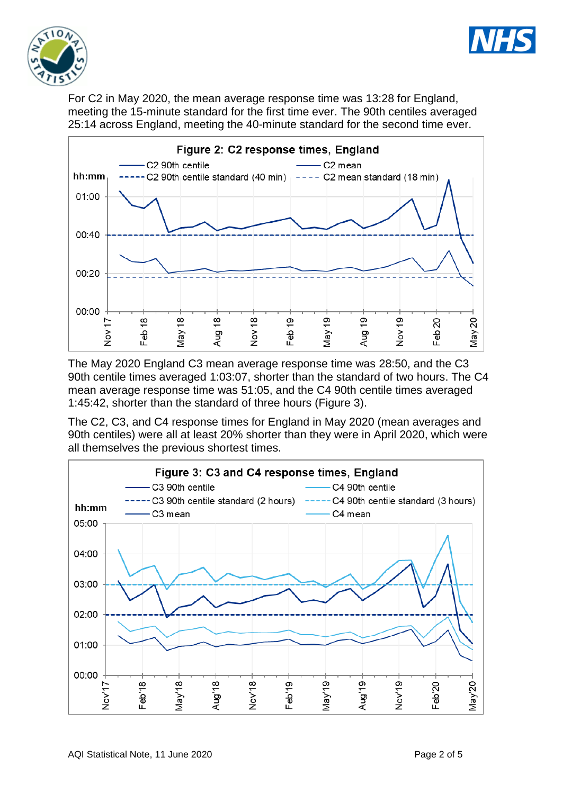



For C2 in May 2020, the mean average response time was 13:28 for England, meeting the 15-minute standard for the first time ever. The 90th centiles averaged 25:14 across England, meeting the 40-minute standard for the second time ever.



The May 2020 England C3 mean average response time was 28:50, and the C3 90th centile times averaged 1:03:07, shorter than the standard of two hours. The C4 mean average response time was 51:05, and the C4 90th centile times averaged 1:45:42, shorter than the standard of three hours (Figure 3).

The C2, C3, and C4 response times for England in May 2020 (mean averages and 90th centiles) were all at least 20% shorter than they were in April 2020, which were all themselves the previous shortest times.

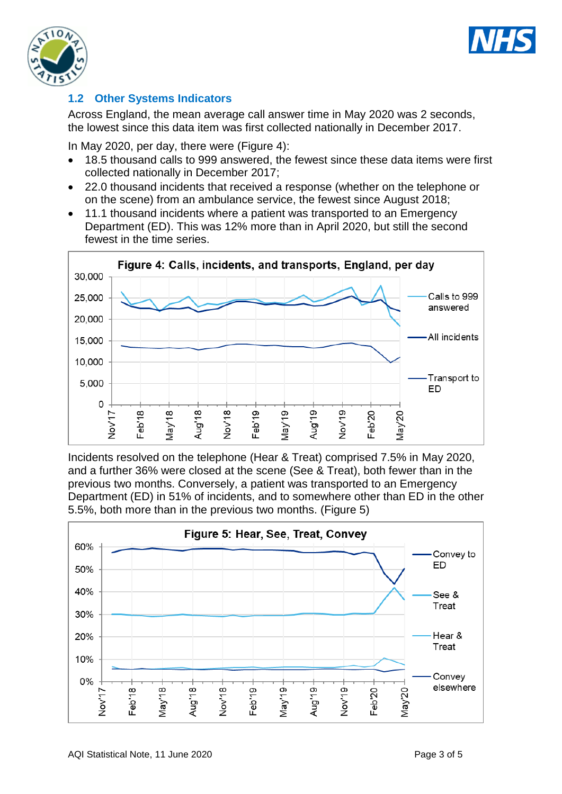



## **1.2 Other Systems Indicators**

Across England, the mean average call answer time in May 2020 was 2 seconds, the lowest since this data item was first collected nationally in December 2017.

In May 2020, per day, there were (Figure 4):

- 18.5 thousand calls to 999 answered, the fewest since these data items were first collected nationally in December 2017;
- 22.0 thousand incidents that received a response (whether on the telephone or on the scene) from an ambulance service, the fewest since August 2018;
- 11.1 thousand incidents where a patient was transported to an Emergency Department (ED). This was 12% more than in April 2020, but still the second fewest in the time series.



Incidents resolved on the telephone (Hear & Treat) comprised 7.5% in May 2020, and a further 36% were closed at the scene (See & Treat), both fewer than in the previous two months. Conversely, a patient was transported to an Emergency Department (ED) in 51% of incidents, and to somewhere other than ED in the other 5.5%, both more than in the previous two months. (Figure 5)

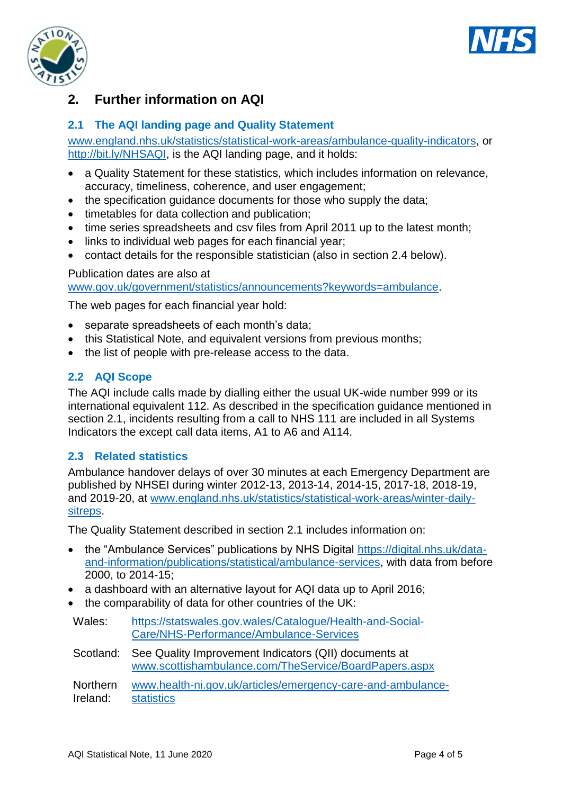



## **2. Further information on AQI**

## **2.1 The AQI landing page and Quality Statement**

[www.england.nhs.uk/statistics/statistical-work-areas/ambulance-quality-indicators,](http://www.england.nhs.uk/statistics/statistical-work-areas/ambulance-quality-indicators) or [http://bit.ly/NHSAQI,](http://bit.ly/NHSAQI) is the AQI landing page, and it holds:

- a Quality Statement for these statistics, which includes information on relevance, accuracy, timeliness, coherence, and user engagement;
- the specification guidance documents for those who supply the data;
- timetables for data collection and publication;
- time series spreadsheets and csv files from April 2011 up to the latest month;
- links to individual web pages for each financial year;
- contact details for the responsible statistician (also in section 2.4 below).

#### Publication dates are also at

[www.gov.uk/government/statistics/announcements?keywords=ambulance.](http://www.gov.uk/government/statistics/announcements?keywords=ambulance)

The web pages for each financial year hold:

- separate spreadsheets of each month's data;
- this Statistical Note, and equivalent versions from previous months;
- the list of people with pre-release access to the data.

## **2.2 AQI Scope**

The AQI include calls made by dialling either the usual UK-wide number 999 or its international equivalent 112. As described in the specification guidance mentioned in section 2.1, incidents resulting from a call to NHS 111 are included in all Systems Indicators the except call data items, A1 to A6 and A114.

#### **2.3 Related statistics**

Ambulance handover delays of over 30 minutes at each Emergency Department are published by NHSEI during winter 2012-13, 2013-14, 2014-15, 2017-18, 2018-19, and 2019-20, at [www.england.nhs.uk/statistics/statistical-work-areas/winter-daily](http://www.england.nhs.uk/statistics/statistical-work-areas/winter-daily-sitreps)[sitreps.](http://www.england.nhs.uk/statistics/statistical-work-areas/winter-daily-sitreps)

The Quality Statement described in section 2.1 includes information on:

- the "Ambulance Services" publications by NHS Digital [https://digital.nhs.uk/data](https://digital.nhs.uk/data-and-information/publications/statistical/ambulance-services)[and-information/publications/statistical/ambulance-services,](https://digital.nhs.uk/data-and-information/publications/statistical/ambulance-services) with data from before 2000, to 2014-15;
- a dashboard with an alternative layout for AQI data up to April 2016;
- the comparability of data for other countries of the UK:

| Wales: | https://statswales.gov.wales/Catalogue/Health-and-Social- |
|--------|-----------------------------------------------------------|
|        | Care/NHS-Performance/Ambulance-Services                   |

Scotland: See Quality Improvement Indicators (QII) documents at [www.scottishambulance.com/TheService/BoardPapers.aspx](http://www.scottishambulance.com/TheService/BoardPapers.aspx)

Northern Ireland: [www.health-ni.gov.uk/articles/emergency-care-and-ambulance](http://www.health-ni.gov.uk/articles/emergency-care-and-ambulance-statistics)[statistics](http://www.health-ni.gov.uk/articles/emergency-care-and-ambulance-statistics)